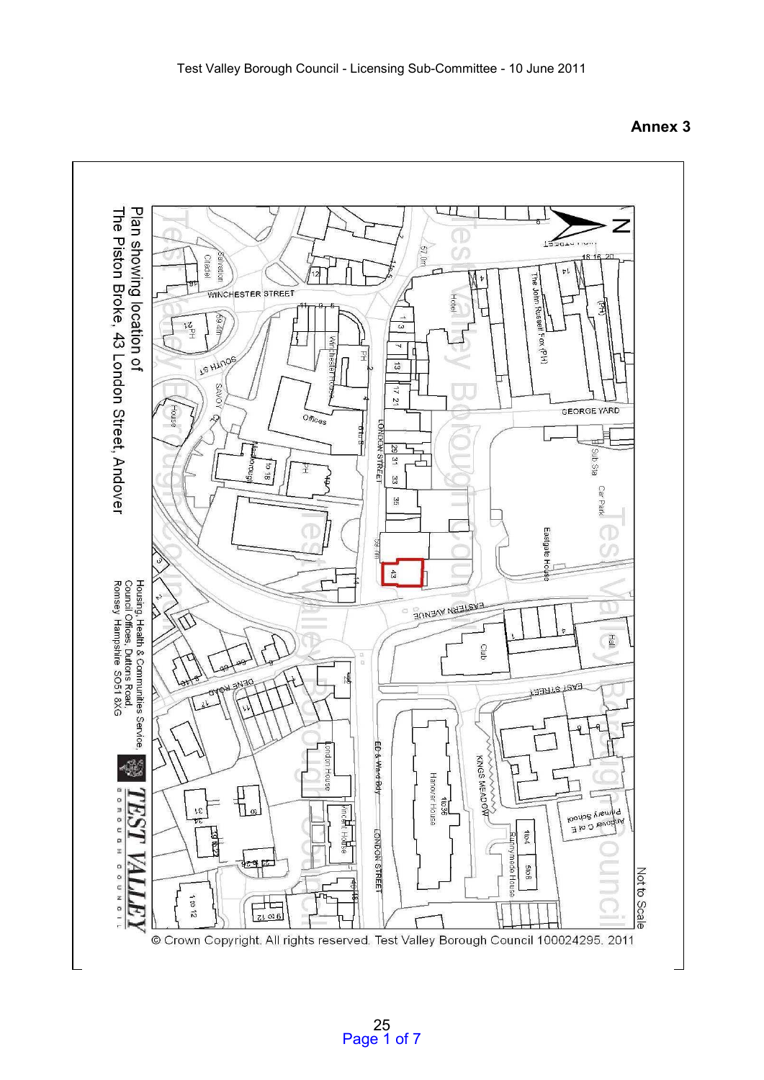

**Annex 3**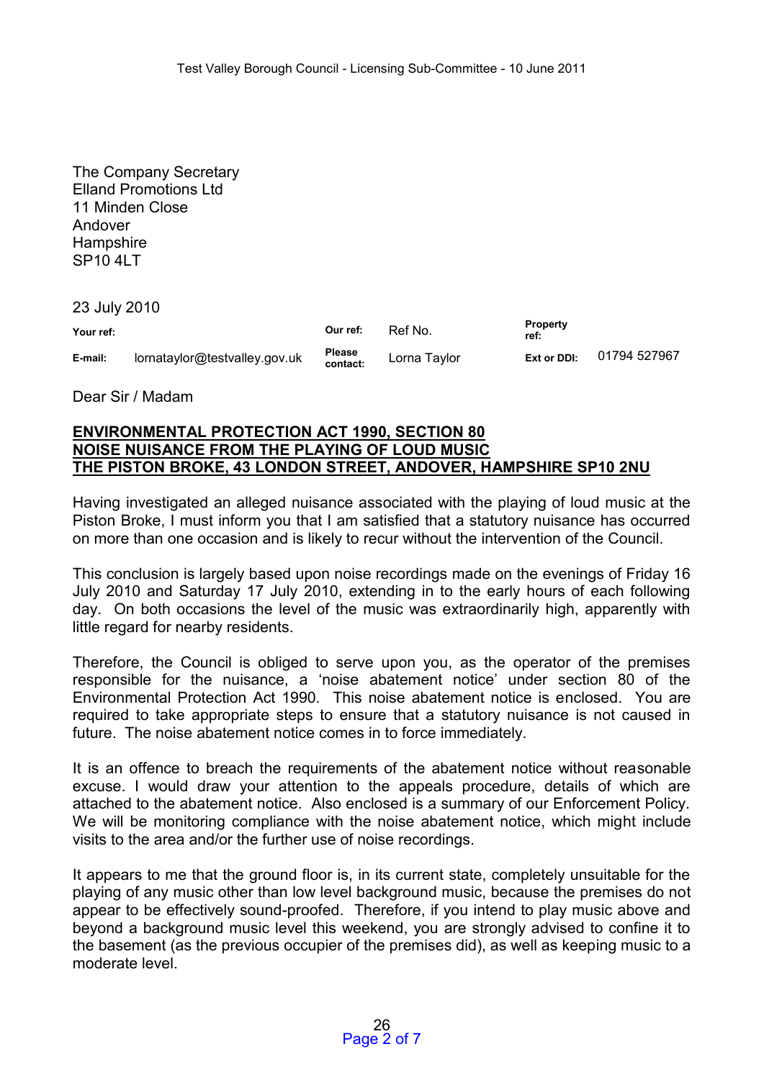The Company Secretary Elland Promotions Ltd 11 Minden Close Andover Hampshire SP<sub>10</sub> 4LT

23 July 2010

| Your ref: |                               | Our ref:                  | Ref No.      | <b>Property</b><br>ref: |              |
|-----------|-------------------------------|---------------------------|--------------|-------------------------|--------------|
| E-mail:   | lornataylor@testvalley.gov.uk | <b>Please</b><br>contact: | Lorna Taylor | Ext or DDI:             | 01794 527967 |

Dear Sir / Madam

#### **ENVIRONMENTAL PROTECTION ACT 1990, SECTION 80 NOISE NUISANCE FROM THE PLAYING OF LOUD MUSIC THE PISTON BROKE, 43 LONDON STREET, ANDOVER, HAMPSHIRE SP10 2NU**

Having investigated an alleged nuisance associated with the playing of loud music at the Piston Broke, I must inform you that I am satisfied that a statutory nuisance has occurred on more than one occasion and is likely to recur without the intervention of the Council.

This conclusion is largely based upon noise recordings made on the evenings of Friday 16 July 2010 and Saturday 17 July 2010, extending in to the early hours of each following day. On both occasions the level of the music was extraordinarily high, apparently with little regard for nearby residents.

Therefore, the Council is obliged to serve upon you, as the operator of the premises responsible for the nuisance, a 'noise abatement notice' under section 80 of the Environmental Protection Act 1990. This noise abatement notice is enclosed. You are required to take appropriate steps to ensure that a statutory nuisance is not caused in future. The noise abatement notice comes in to force immediately.

It is an offence to breach the requirements of the abatement notice without reasonable excuse. I would draw your attention to the appeals procedure, details of which are attached to the abatement notice. Also enclosed is a summary of our Enforcement Policy. We will be monitoring compliance with the noise abatement notice, which might include visits to the area and/or the further use of noise recordings.

It appears to me that the ground floor is, in its current state, completely unsuitable for the playing of any music other than low level background music, because the premises do not appear to be effectively sound-proofed. Therefore, if you intend to play music above and beyond a background music level this weekend, you are strongly advised to confine it to the basement (as the previous occupier of the premises did), as well as keeping music to a moderate level.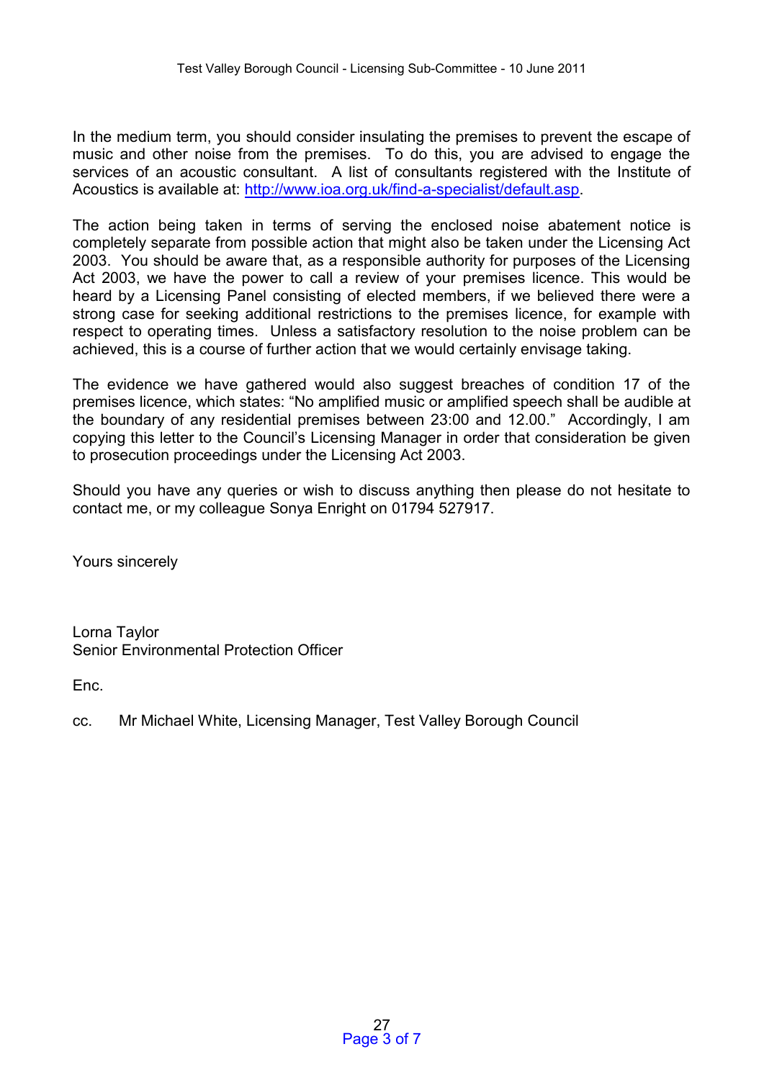In the medium term, you should consider insulating the premises to prevent the escape of music and other noise from the premises. To do this, you are advised to engage the services of an acoustic consultant. A list of consultants registered with the Institute of Acoustics is available at: [http://www.ioa.org.uk/find-a-specialist/default.asp.](http://www.ioa.org.uk/find-a-specialist/default.asp)

The action being taken in terms of serving the enclosed noise abatement notice is completely separate from possible action that might also be taken under the Licensing Act 2003. You should be aware that, as a responsible authority for purposes of the Licensing Act 2003, we have the power to call a review of your premises licence. This would be heard by a Licensing Panel consisting of elected members, if we believed there were a strong case for seeking additional restrictions to the premises licence, for example with respect to operating times. Unless a satisfactory resolution to the noise problem can be achieved, this is a course of further action that we would certainly envisage taking.

The evidence we have gathered would also suggest breaches of condition 17 of the premises licence, which states: "No amplified music or amplified speech shall be audible at the boundary of any residential premises between 23:00 and 12.00." Accordingly, I am copying this letter to the Council's Licensing Manager in order that consideration be given to prosecution proceedings under the Licensing Act 2003.

Should you have any queries or wish to discuss anything then please do not hesitate to contact me, or my colleague Sonya Enright on 01794 527917.

Yours sincerely

Lorna Taylor Senior Environmental Protection Officer

Enc.

cc. Mr Michael White, Licensing Manager, Test Valley Borough Council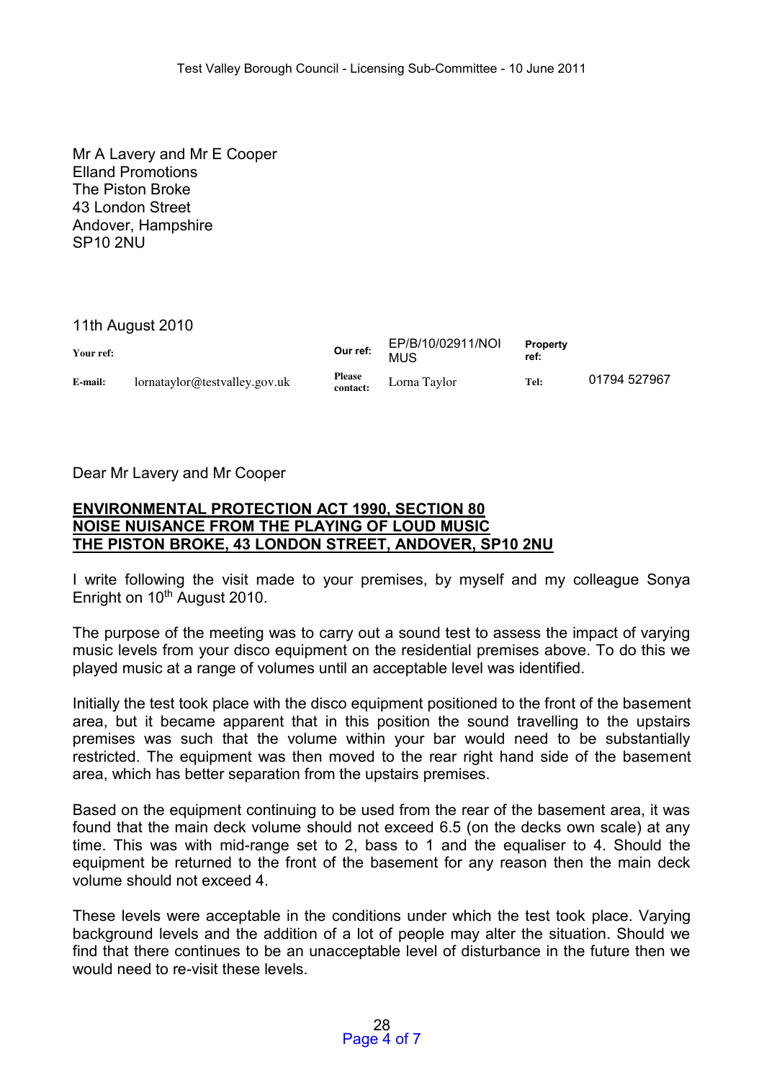Mr A Lavery and Mr E Cooper Elland Promotions The Piston Broke 43 London Street Andover, Hampshire SP10 2NU

# 11th August 2010

| Your ref: |                               | Our ref:                  | EP/B/10/02911/NOI<br><b>MUS</b> | <b>Property</b><br>ref: |              |
|-----------|-------------------------------|---------------------------|---------------------------------|-------------------------|--------------|
| E-mail:   | lornataylor@testvalley.gov.uk | <b>Please</b><br>contact: | Lorna Taylor                    | Tel:                    | 01794 527967 |

# Dear Mr Lavery and Mr Cooper

## **ENVIRONMENTAL PROTECTION ACT 1990, SECTION 80 NOISE NUISANCE FROM THE PLAYING OF LOUD MUSIC THE PISTON BROKE, 43 LONDON STREET, ANDOVER, SP10 2NU**

I write following the visit made to your premises, by myself and my colleague Sonya Enright on 10<sup>th</sup> August 2010.

The purpose of the meeting was to carry out a sound test to assess the impact of varying music levels from your disco equipment on the residential premises above. To do this we played music at a range of volumes until an acceptable level was identified.

Initially the test took place with the disco equipment positioned to the front of the basement area, but it became apparent that in this position the sound travelling to the upstairs premises was such that the volume within your bar would need to be substantially restricted. The equipment was then moved to the rear right hand side of the basement area, which has better separation from the upstairs premises.

Based on the equipment continuing to be used from the rear of the basement area, it was found that the main deck volume should not exceed 6.5 (on the decks own scale) at any time. This was with mid-range set to 2, bass to 1 and the equaliser to 4. Should the equipment be returned to the front of the basement for any reason then the main deck volume should not exceed 4.

These levels were acceptable in the conditions under which the test took place. Varying background levels and the addition of a lot of people may alter the situation. Should we find that there continues to be an unacceptable level of disturbance in the future then we would need to re-visit these levels.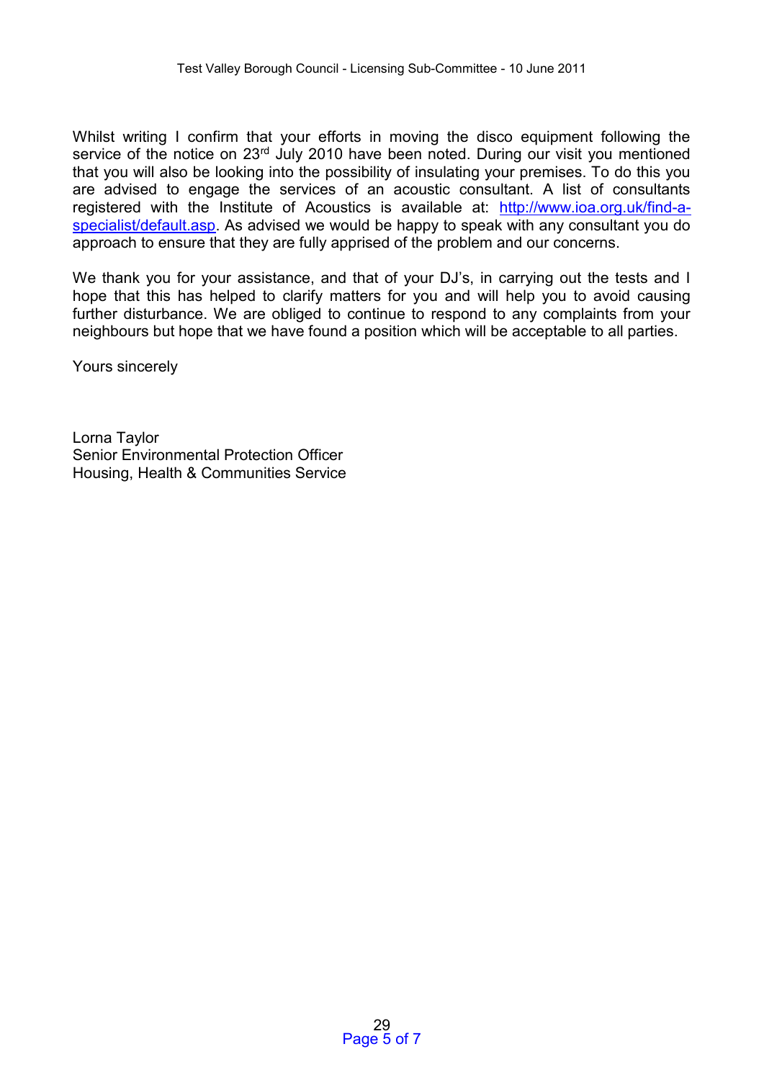Whilst writing I confirm that your efforts in moving the disco equipment following the service of the notice on 23<sup>rd</sup> July 2010 have been noted. During our visit you mentioned that you will also be looking into the possibility of insulating your premises. To do this you are advised to engage the services of an acoustic consultant. A list of consultants registered with the Institute of Acoustics is available at: [http://www.ioa.org.uk/find-a](http://www.ioa.org.uk/find-a-specialist/default.asp)[specialist/default.asp.](http://www.ioa.org.uk/find-a-specialist/default.asp) As advised we would be happy to speak with any consultant you do approach to ensure that they are fully apprised of the problem and our concerns.

We thank you for your assistance, and that of your DJ's, in carrying out the tests and I hope that this has helped to clarify matters for you and will help you to avoid causing further disturbance. We are obliged to continue to respond to any complaints from your neighbours but hope that we have found a position which will be acceptable to all parties.

Yours sincerely

Lorna Taylor Senior Environmental Protection Officer Housing, Health & Communities Service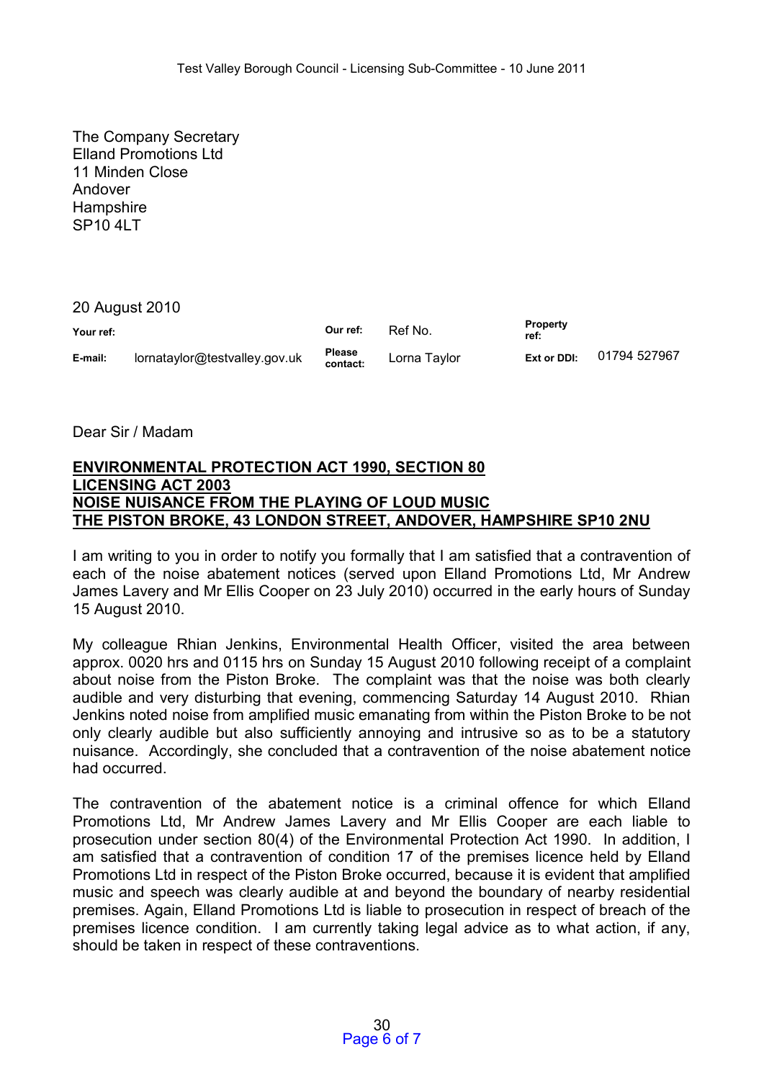The Company Secretary Elland Promotions Ltd 11 Minden Close Andover **Hampshire** SP10 4LT

20 August 2010

| Your ref: |                               | Our ref:                  | Ref No.      | <b>Property</b><br>ref: |              |
|-----------|-------------------------------|---------------------------|--------------|-------------------------|--------------|
| E-mail:   | lornataylor@testvalley.gov.uk | <b>Please</b><br>contact: | Lorna Taylor | Ext or DDI:             | 01794 527967 |

Dear Sir / Madam

# **ENVIRONMENTAL PROTECTION ACT 1990, SECTION 80 LICENSING ACT 2003 NOISE NUISANCE FROM THE PLAYING OF LOUD MUSIC THE PISTON BROKE, 43 LONDON STREET, ANDOVER, HAMPSHIRE SP10 2NU**

I am writing to you in order to notify you formally that I am satisfied that a contravention of each of the noise abatement notices (served upon Elland Promotions Ltd, Mr Andrew James Lavery and Mr Ellis Cooper on 23 July 2010) occurred in the early hours of Sunday 15 August 2010.

My colleague Rhian Jenkins, Environmental Health Officer, visited the area between approx. 0020 hrs and 0115 hrs on Sunday 15 August 2010 following receipt of a complaint about noise from the Piston Broke. The complaint was that the noise was both clearly audible and very disturbing that evening, commencing Saturday 14 August 2010. Rhian Jenkins noted noise from amplified music emanating from within the Piston Broke to be not only clearly audible but also sufficiently annoying and intrusive so as to be a statutory nuisance. Accordingly, she concluded that a contravention of the noise abatement notice had occurred.

The contravention of the abatement notice is a criminal offence for which Elland Promotions Ltd, Mr Andrew James Lavery and Mr Ellis Cooper are each liable to prosecution under section 80(4) of the Environmental Protection Act 1990. In addition, I am satisfied that a contravention of condition 17 of the premises licence held by Elland Promotions Ltd in respect of the Piston Broke occurred, because it is evident that amplified music and speech was clearly audible at and beyond the boundary of nearby residential premises. Again, Elland Promotions Ltd is liable to prosecution in respect of breach of the premises licence condition. I am currently taking legal advice as to what action, if any, should be taken in respect of these contraventions.